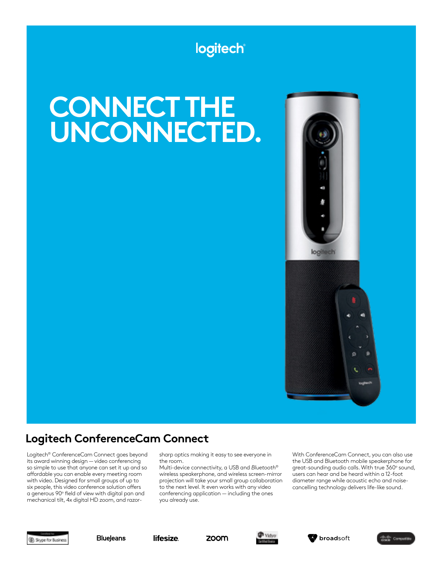## logitech

# **CONNECT THE UNCONNECTED.**



### **Logitech ConferenceCam Connect**

Logitech® ConferenceCam Connect goes beyond its award winning design — video conferencing so simple to use that anyone can set it up and so affordable you can enable every meeting room with video. Designed for small groups of up to six people, this video conference solution offers a generous 90° field of view with digital pan and mechanical tilt, 4x digital HD zoom, and razorsharp optics making it easy to see everyone in the room.

Multi-device connectivity, a USB and *Bluetooth*® wireless speakerphone, and wireless screen-mirror projection will take your small group collaboration to the next level. It even works with any video conferencing application — including the ones you already use.

With ConferenceCam Connect, you can also use the USB and Bluetooth mobile speakerphone for great-sounding audio calls. With true 360° sound, users can hear and be heard within a 12-foot diameter range while acoustic echo and noisecancelling technology delivers life-like sound.













logitech

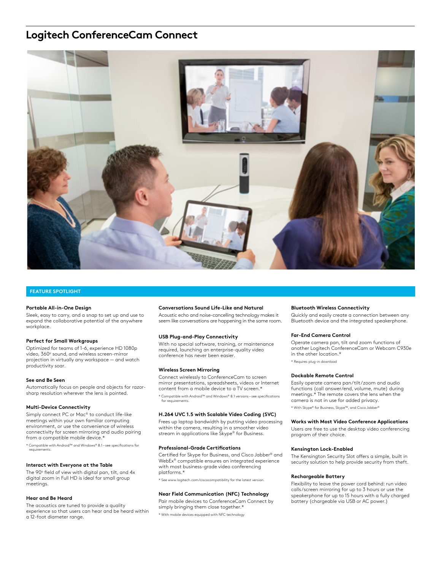### **Logitech ConferenceCam Connect**



### **FEATURE SPOTLIGHT**

### **Portable All-in-One Design**

Sleek, easy to carry, and a snap to set up and use to expand the collaborative potential of the anywhere workplace.

### **Perfect for Small Workgroups**

Optimized for teams of 1-6, experience HD 1080p video, 360° sound, and wireless screen-mirror projection in virtually any workspace — and watch productivity soar.

### **See and Be Seen**

Automatically focus on people and objects for razorsharp resolution wherever the lens is pointed.

### **Multi-Device Connectivity**

Simply connect PC or Mac® to conduct life-like meetings within your own familiar computing environment, or use the convenience of wireless connectivity for screen mirroring and audio pairing from a compatible mobile device.\*

\* Compatible with Android™ and Windows® 8.1 – see specifications for requirements.

### **Interact with Everyone at the Table**

The 90° field of view with digital pan, tilt, and 4x digital zoom in Full HD is ideal for small group meetings.

### **Hear and Be Heard**

The acoustics are tuned to provide a quality experience so that users can hear and be heard within a 12-foot diameter range.

### **Conversations Sound Life-Like and Natural**

Acoustic echo and noise-cancelling technology makes it seem like conversations are happening in the same room.

### **USB Plug-and-Play Connectivity**

With no special software, training, or maintenance required, launching an enterprise-quality video conference has never been easier.

#### **Wireless Screen Mirroring**

Connect wirelessly to ConferenceCam to screen mirror presentations, spreadsheets, videos or Internet content from a mobile device to a TV screen.\*

\* Compatible with Android™ and Windows® 8.1 versions – see specifications for requirements.

### **H.264 UVC 1.5 with Scalable Video Coding (SVC)**

Frees up laptop bandwidth by putting video processing within the camera, resulting in a smoother video stream in applications like Skype® for Business.

### **Professional-Grade Certifications**

Certified for Skype for Business, and Cisco Jabber® and WebEx® compatible ensures an integrated experience with most business-grade video conferencing platforms.\*

\* See www.logitech.com/ciscocompatibility for the latest version.

### **Near Field Communication (NFC) Technology**

Pair mobile devices to ConferenceCam Connect by simply bringing them close together.\* \* With mobile devices equipped with NFC technology

### **Bluetooth Wireless Connectivity**

Quickly and easily create a connection between any Bluetooth device and the integrated speakerphone.

#### **Far-End Camera Control**

Operate camera pan, tilt and zoom functions of another Logitech ConferenceCam or Webcam C930e in the other location.\* \* Requires plug-in download

**Dockable Remote Control**

Easily operate camera pan/tilt/zoom and audio functions (call answer/end, volume, mute) during meetings.\* The remote covers the lens when the camera is not in use for added privacy.

\* With Skype® for Business, Skype™, and Cisco Jabber®

### **Works with Most Video Conference Applications**

Users are free to use the desktop video conferencing program of their choice.

### **Kensington Lock-Enabled**

The Kensington Security Slot offers a simple, built in security solution to help provide security from theft.

#### **Rechargeable Battery**

Flexibility to leave the power cord behind: run video calls/screen mirroring for up to 3 hours or use the speakerphone for up to 15 hours with a fully charged battery (chargeable via USB or AC power.)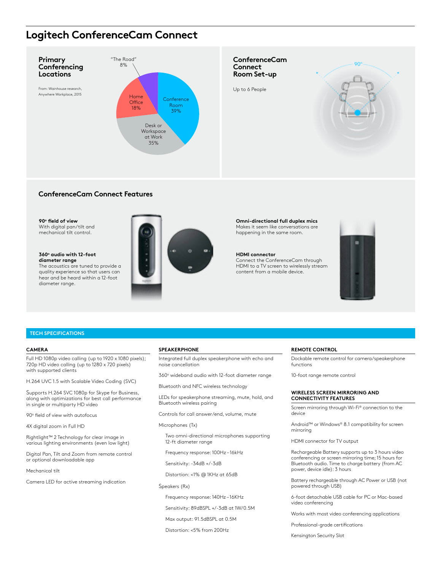### **Logitech ConferenceCam Connect**



### **ConferenceCam Connect Features**

#### 90° field of view With digital pan/tilt and mechanical tilt control.

### **360o audio with 12-foot diameter range**

The acoustics are tuned to provide a quality experience so that users can hear and be heard within a 12-foot diameter range.



**Omni-directional full duplex mics** Makes it seem like conversations are happening in the same room.

### **HDMI connector**

Connect the ConferenceCam through HDMI to a TV screen to wirelessly stream content from a mobile device.



### **TECH SPECIFICATIONS**

### **CAMERA**

Full HD 1080p video calling (up to 1920 x 1080 pixels); 720p HD video calling (up to 1280 x 720 pixels) with supported clients

H.264 UVC 1.5 with Scalable Video Coding (SVC)

Supports H.264 SVC 1080p for Skype for Business, along with optimizations for best call performance in single or multiparty HD video

90° field of view with autofocus

4X digital zoom in Full HD

Rightlight™ 2 Technology for clear image in various lighting environments (even low light)

Digital Pan, Tilt and Zoom from remote control or optional downloadable app

Mechanical tilt

Camera LED for active streaming indication

### **SPEAKERPHONE**

Integrated full duplex speakerphone with echo and noise cancellation

360° wideband audio with 12-foot diameter range

Bluetooth and NFC wireless technology

LEDs for speakerphone streaming, mute, hold, and Bluetooth wireless pairing

Controls for call answer/end, volume, mute

Microphones (Tx)

 Two omni-directional microphones supporting 12-ft diameter range

Frequency response: 100Hz – 16kHz

Sensitivity: -34dB +/-3dB

Distortion: <1% @ 1KHz at 65dB

Speakers (Rx)

Frequency response: 140Hz – 16KHz

Sensitivity: 89dBSPL +/-3dB at 1W/0.5M

Max output: 91.5dBSPL at 0.5M

Distortion: <5% from 200Hz

### **REMOTE CONTROL**

Dockable remote control for camera/speakerphone functions

10-foot range remote control

### **WIRELESS SCREEN MIRRORING AND CONNECTIVITY FEATURES**

Screen mirroring through Wi-Fi® connection to the device

Android™ or Windows® 8.1 compatibility for screen mirroring

HDMI connector for TV output

Rechargeable Battery supports up to 3 hours video conferencing or screen mirroring time; 15 hours for Bluetooth audio. Time to charge battery (from AC power, device idle): 3 hours

Battery rechargeable through AC Power or USB (not powered through USB)

6-foot detachable USB cable for PC or Mac-based video conferencing

Works with most video conferencing applications

Professional-grade certifications

Kensington Security Slot